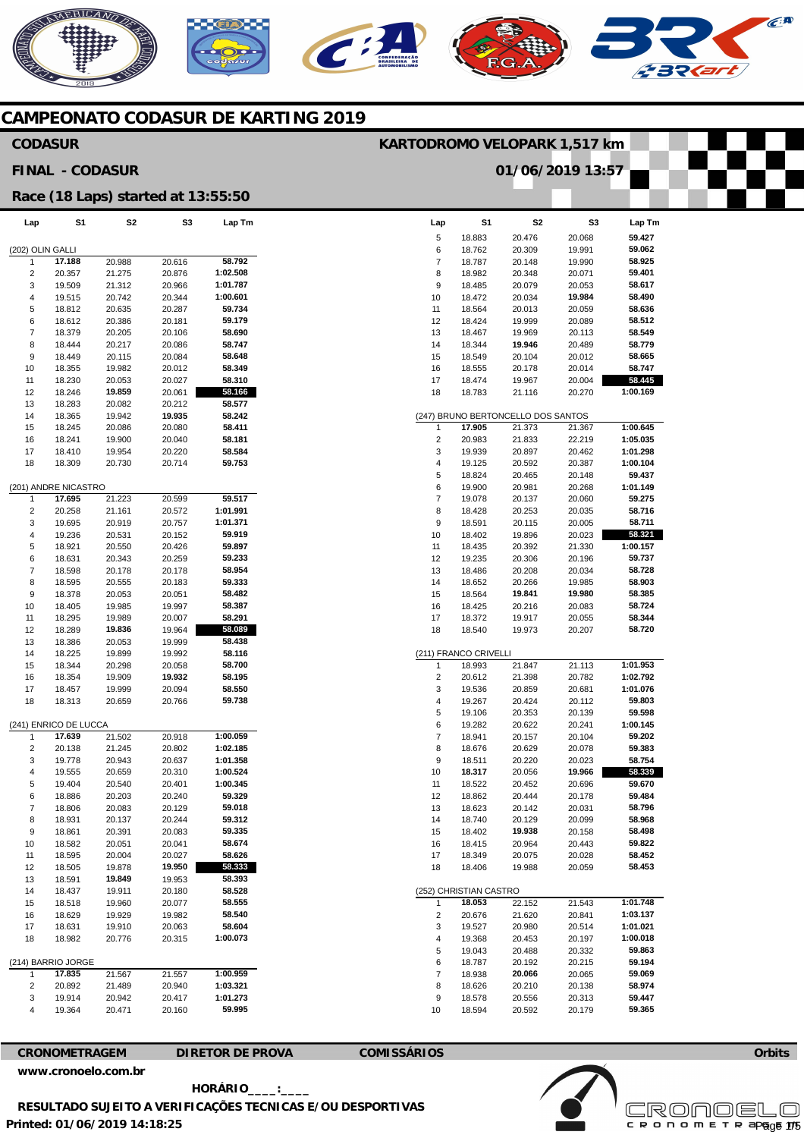## AERICANO  $\widehat{C}^{\text{A}}$  $\overline{\phantom{a}}$

#### **CAMPEONATO CODASUR DE KARTING 2019**

#### **Lap**  5 6 7 8 9 10 11 12 13 14 15 16 17 18 1 2 3 4 5 6 7 8 9 10 11 12 13 14 15 16 17 18 (211) FRANCO CRIVELLI 1 2 3 4 5 6 7 8 9 10 11 12 13 14 15 16 17 18 (252) CHRISTIAN CASTRO 1 2 3 4 5 6 7 8 9 10 **S1**  18.883 18.762 18.787 18.982 18.485 18.472 18.564 18.424 18.467 18.344 18.549 18.555 18.474 18.783 **17.905**  20.983 19.939 19.125 18.824 19.900 19.078 18.428 18.591 18.402 18.435 19.235 18.486 18.652 18.564 18.425 18.372 18.540 18.993 20.612 19.536 19.267 19.106 19.282 18.941 18.676 18.511 **18.317**  18.522 18.862 18.623 18.740 18.402 18.415 18.349 18.406 **18.053**  20.676 19.527 19.368 19.043 18.787 18.938 18.626 18.578 18.594 20.476 20.309 20.148 20.348 20.079 20.034 20.013 19.999 19.969 **19.946**  20.104 20.178 19.967 21.116 21.373 21.833 20.897 20.592 20.465 20.981 20.137 20.253 20.115 19.896 20.392 20.306 20.208 20.266 **19.841**  20.216 19.917 19.973 21.847 21.398 20.859 20.424 20.353 20.622 20.157 20.629 20.220 20.056 20.452 20.444 20.142 20.129 **19.938**  20.964 20.075 19.988 22.152 21.620 20.980 20.453 20.488 20.192 **20.066**  20.210 20.556 20.592 **Lap**  (202) OLIN GALLI 1 2 3 4 5 6 7 8 9 10 11 12 13 14 15 16 17 18 (201) ANDRE NICASTRO 1  $\overline{2}$ 3 4 5 6 7 8  $\alpha$ 10 11 12 13 14 15 16 17 18 (241) ENRICO DE LUCCA 1 2 3 4 5 6 7 8 9 10 11 12 13 14 15 16 17 18 (214) BARRIO JORGE 1 2 3 4 **S1 17.188**  20.357 19.509 19.515 18.812 18.612 18.379 18.444 18.449 18.355 18.230 18.246 18.283 18.365 18.245 18.241 18.410 18.309 **17.695**  20.258 19.695 19.236 18.921 18.631 18.598 18.595 18.378 18.405 18.295 18.289 18.386 18.225 18.344 18.354 18.457 18.313 **17.639**  20.138 19.778 19.555 19.404 18.886 18.806 18.931 18.861 18.582 18.595 18.505 18.591 18.437 18.518 18.629 18.631 18.982 **17.835**  20.892 19.914 19.364 **S2**  20.988 21.275 21.312 20.742 20.635 20.386 20.205 20.217 20.115 19.982 20.053 **19.859**  20.082 19.942 20.086 19.900 19.954 20.730 21.223 21.161 20.919 20.531 20.550 20.343 20.178 20.555 20.053 19.985 19.989 **19.836**  20.053 19.899 20.298 19.909 19.999 20.659 21.502 21.245 20.943 20.659 20.540 20.203 20.083 20.137 20.391 20.051 20.004 19.878 **19.849**  19.911 19.960 19.929 19.910 20.776 21.567 21.489 20.942 20.471 **S3**  20.616 20.876 20.966 20.344 20.287 20.181 20.106 20.086 20.084 20.012 20.027 20.061 20.212 **19.935**  20.080 20.040 20.220 20.714 20.599 20.572 20.757 20.152 20.426 20.259 20.178 20.183 20.051 19.997 20.007 19.964 19.999 19.992 20.058 **19.932**  20.094 20.766 20.918 20.802 20.637 20.310 20.401 20.240 20.129 20.244 20.083 20.041 20.027 **19.950**  19.953 20.180 20.077 19.982 20.063 20.315 21.557 20.940 20.417 20.160 **Lap Tm 58.792 1:02.508 1:01.787 1:00.601 59.734 59.179 58.690 58.747 58.648 58.349 58.310 58.166 58.577 58.242 58.411 58.181 58.584 59.753 59.517 1:01.991 1:01.371 59.919 59.897 59.233 58.954 59.333 58.482 58.387 58.291 58.089 58.438 58.116 58.700 58.195 58.550 59.738 1:00.059 1:02.185 1:01.358 1:00.524 1:00.345 59.329 59.018 59.312 59.335 58.674 58.626 58.333 58.393 58.528 58.555 58.540 58.604 1:00.073 1:00.959 1:03.321 1:01.273 59.995 CODASUR FINAL - CODASUR Race (18 Laps) started at 13:55:50 KARTODROMO VELOPARK 1,517 km 01/06/2019 13:57**

| Lap    | S1                     | S2                                           | S3     | Lap Tm   |
|--------|------------------------|----------------------------------------------|--------|----------|
| 5      | 18.883                 | 20.476                                       | 20.068 | 59.427   |
| 6      | 18.762                 | 20.309                                       | 19.991 | 59.062   |
| 7      | 18.787                 | 20.148                                       | 19.990 | 58.925   |
| 8      | 18.982                 | 20.348                                       | 20.071 | 59.401   |
| 9      | 18.485                 | 20.079                                       | 20.053 | 58.617   |
| 10     | 18.472                 | 20.034                                       | 19.984 | 58.490   |
| 11     | 18.564                 | 20.013                                       | 20.059 | 58.636   |
| 12     | 18.424                 | 19.999                                       | 20.089 | 58.512   |
| 13     | 18.467                 | 19.969                                       | 20.113 | 58.549   |
| 14     | 18.344                 | 19.946                                       | 20.489 | 58.779   |
| 15     | 18.549                 | 20.104                                       | 20.012 | 58.665   |
| 16     | 18.555                 | 20.178                                       | 20.014 | 58.747   |
| 17     | 18.474                 | 19.967                                       | 20.004 | 58.445   |
| 18     | 18.783                 | 21.116                                       | 20.270 | 1:00.169 |
|        |                        |                                              |        |          |
| 1      | 17.905                 | (247) BRUNO BERTONCELLO DOS SANTOS<br>21.373 | 21.367 | 1:00.645 |
|        | 20.983                 |                                              | 22.219 | 1:05.035 |
| 2<br>3 | 19.939                 | 21.833<br>20.897                             | 20.462 | 1:01.298 |
| 4      | 19.125                 | 20.592                                       | 20.387 | 1:00.104 |
| 5      | 18.824                 | 20.465                                       | 20.148 | 59.437   |
| 6      | 19.900                 | 20.981                                       | 20.268 | 1:01.149 |
| 7      | 19.078                 | 20.137                                       | 20.060 | 59.275   |
| 8      | 18.428                 | 20.253                                       | 20.035 | 58.716   |
| 9      | 18.591                 | 20.115                                       | 20.005 | 58.711   |
| 10     | 18.402                 | 19.896                                       | 20.023 | 58.321   |
| 11     | 18.435                 | 20.392                                       | 21.330 | 1:00.157 |
| 12     | 19.235                 | 20.306                                       | 20.196 | 59.737   |
| 13     | 18.486                 | 20.208                                       | 20.034 | 58.728   |
| 14     | 18.652                 | 20.266                                       | 19.985 | 58.903   |
| 15     | 18.564                 | 19.841                                       | 19.980 | 58.385   |
| 16     | 18.425                 | 20.216                                       | 20.083 | 58.724   |
| 17     | 18.372                 | 19.917                                       | 20.055 | 58.344   |
| 18     | 18.540                 | 19.973                                       | 20.207 | 58.720   |
|        |                        |                                              |        |          |
|        | (211) FRANCO CRIVELLI  |                                              |        |          |
| 1      | 18.993                 | 21.847                                       | 21.113 | 1:01.953 |
| 2      | 20.612                 | 21.398                                       | 20.782 | 1:02.792 |
| 3      | 19.536                 | 20.859                                       | 20.681 | 1:01.076 |
| 4      | 19.267                 | 20.424                                       | 20.112 | 59.803   |
| 5      | 19.106                 | 20.353                                       | 20.139 | 59.598   |
| 6      | 19.282                 | 20.622                                       | 20.241 | 1:00.145 |
| 7      | 18.941                 | 20.157                                       | 20.104 | 59.202   |
| 8      | 18.676                 | 20.629                                       | 20.078 | 59.383   |
| 9      | 18.511                 | 20.220                                       | 20.023 | 58.754   |
| 10     | 18.317                 | 20.056                                       | 19.966 | 58.339   |
| 11     | 18.522                 | 20.452                                       | 20.696 | 59.670   |
| 12     | 18.862                 | 20.444                                       | 20.178 | 59.484   |
| 13     | 18.623                 | 20.142                                       | 20.031 | 58.796   |
| 14     | 18.740                 | 20.129                                       | 20.099 | 58.968   |
| 15     | 18.402                 | 19.938                                       | 20.158 | 58.498   |
| 16     | 18.415                 | 20.964                                       | 20.443 | 59.822   |
| 17     | 18.349                 | 20.075                                       | 20.028 | 58.452   |
| 18     | 18.406                 | 19.988                                       | 20.059 | 58.453   |
|        | (252) CHRISTIAN CASTRO |                                              |        |          |
| 1      | 18.053                 | 22.152                                       | 21.543 | 1:01.748 |
| 2      | 20.676                 | 21.620                                       | 20.841 | 1:03.137 |
| 3      | 19.527                 | 20.980                                       | 20.514 | 1:01.021 |
| 4      | 19.368                 | 20.453                                       | 20.197 | 1:00.018 |
| 5      | 19.043                 | 20.488                                       | 20.332 | 59.863   |
| 6      | 18.787                 | 20.192                                       | 20.215 | 59.194   |
| 7      | 18.938                 | 20.066                                       | 20.065 | 59.069   |
| 8      | 18.626                 | 20.210                                       | 20.138 | 58.974   |
| 9      | 18.578                 | 20.556                                       | 20.313 | 59.447   |
| 10     | 18.594                 | 20.592                                       | 20.179 | 59.365   |

**CRONOMETRAGEM DIRETOR DE PROVA COMISSÁRIOS [www.cronoelo.com.br](http://www.cronoelo.com.br)** 



**Printed: 01/06/2019 14:18:25 HORÁRIO\_\_\_\_:\_\_\_\_ RESULTADO SUJEITO A VERIFICAÇÕES TECNICAS E/OU DESPORTIVAS** 

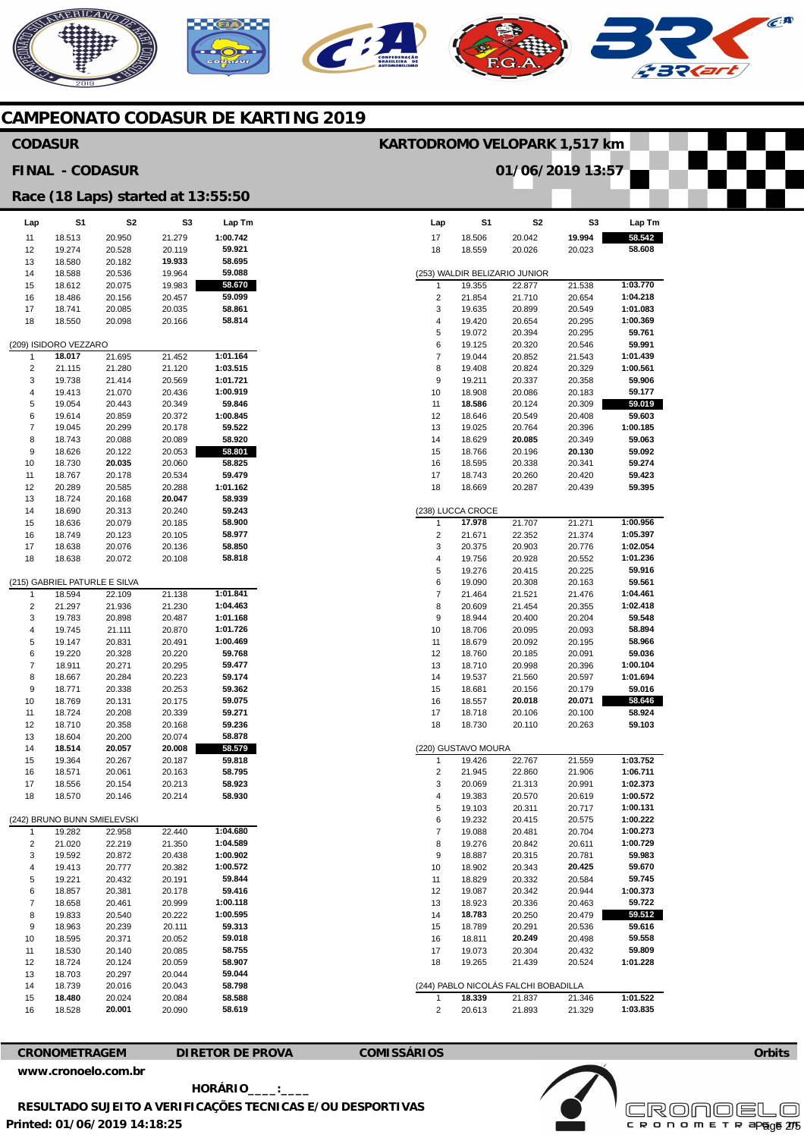# NERICANO  $\mathbb{C}^{\mathbf{R}}$

#### **CAMPEONATO CODASUR DE KARTING 2019**

#### **CODASUR**

**FINAL - CODASUR** 

#### **KARTODROMO VELOPARK 1,517 km**

**S1**  18.506

**Lap**  17

**01/06/2019 13:57** 

**S2**  20.042

**S3 19.994 58.542** 

**Lap Tm** 

**Race (18 Laps) started at 13:55:50** 

| Lap      | S1                            | S2               | S3               | Lap Tm           |
|----------|-------------------------------|------------------|------------------|------------------|
| 11       | 18.513                        | 20.950           | 21.279           | 1:00.742         |
| 12       | 19.274                        | 20.528           | 20.119           | 59.921           |
| 13       | 18.580                        | 20.182           | 19.933           | 58.695           |
| 14       | 18.588                        | 20.536           | 19.964           | 59.088           |
| 15       | 18.612                        | 20.075           | 19.983           | 58.670           |
| 16       | 18.486                        | 20.156           | 20.457           | 59.099           |
| 17       | 18.741                        | 20.085           | 20.035           | 58.861           |
| 18       | 18.550                        | 20.098           | 20.166           | 58.814           |
|          | (209) ISIDORO VEZZARO         |                  |                  |                  |
| 1        | 18.017                        | 21.695           | 21.452           | 1:01.164         |
| 2        | 21.115                        | 21.280           | 21.120           | 1:03.515         |
| 3        | 19.738                        | 21.414           | 20.569           | 1:01.721         |
| 4        | 19.413                        | 21.070           | 20.436           | 1:00.919         |
| 5        | 19.054                        | 20.443           | 20.349           | 59.846           |
| 6        | 19.614                        | 20.859           | 20.372           | 1:00.845         |
| 7        | 19.045                        | 20.299           | 20.178           | 59.522           |
| 8        | 18.743                        | 20.088           | 20.089           | 58.920           |
| 9        | 18.626                        | 20.122           | 20.053           | 58.801           |
| 10       | 18.730                        | 20.035           | 20.060           | 58.825           |
| 11       | 18.767                        | 20.178           | 20.534           | 59.479           |
| 12       | 20.289                        | 20.585           | 20.288           | 1:01.162         |
| 13<br>14 | 18.724                        | 20.168           | 20.047           | 58.939<br>59.243 |
| 15       | 18.690<br>18.636              | 20.313<br>20.079 | 20.240<br>20.185 | 58.900           |
| 16       | 18.749                        | 20.123           | 20.105           | 58.977           |
| 17       | 18.638                        | 20.076           | 20.136           | 58.850           |
| 18       | 18.638                        | 20.072           | 20.108           | 58.818           |
|          |                               |                  |                  |                  |
|          | (215) GABRIEL PATURLE E SILVA |                  |                  |                  |
| 1        | 18.594                        | 22.109           | 21.138           | 1:01.841         |
| 2        | 21.297                        | 21.936           | 21.230           | 1:04.463         |
| 3        | 19.783                        | 20.898           | 20.487           | 1:01.168         |
| 4        | 19.745                        | 21.111           | 20.870           | 1:01.726         |
| 5        | 19.147                        | 20.831           | 20.491           | 1:00.469         |
| 6        | 19.220                        | 20.328           | 20.220           | 59.768           |
| 7<br>8   | 18.911<br>18.667              | 20.271<br>20.284 | 20.295<br>20.223 | 59.477<br>59.174 |
| 9        | 18.771                        | 20.338           | 20.253           | 59.362           |
| 10       | 18.769                        | 20.131           | 20.175           | 59.075           |
| 11       | 18.724                        | 20.208           | 20.339           | 59.271           |
| 12       | 18.710                        | 20.358           | 20.168           | 59.236           |
| 13       | 18.604                        | 20.200           | 20.074           | 58.878           |
| 14       | 18.514                        | 20.057           | 20.008           | 58.579           |
| 15       | 19.364                        | 20.267           | 20.187           | 59.818           |
| 16       | 18.571                        | 20.061           | 20.163           | 58.795           |
| 17       | 18.556                        | 20.154           | 20.213           | 58.923           |
| 18       | 18.570                        | 20.146           | 20.214           | 58.930           |
|          | (242) BRUNO BUNN SMIELEVSKI   |                  |                  |                  |
| 1        | 19.282                        | 22.958           | 22.440           | 1:04.680         |
| 2        | 21.020                        | 22.219           | 21.350           | 1:04.589         |
| 3        | 19.592                        | 20.872           | 20.438           | 1:00.902         |
| 4        | 19.413                        | 20.777           | 20.382           | 1:00.572         |
| 5        | 19.221                        | 20.432           | 20.191           | 59.844           |
| 6        | 18.857                        | 20.381           | 20.178           | 59.416           |
| 7        | 18.658                        | 20.461           | 20.999           | 1:00.118         |
| 8        | 19.833                        | 20.540           | 20.222           | 1:00.595         |
| 9        | 18.963                        | 20.239           | 20.111           | 59.313           |
| 10       | 18.595                        | 20.371           | 20.052           | 59.018           |
| 11<br>12 | 18.530                        | 20.140<br>20.124 | 20.085           | 58.755<br>58.907 |
| 13       | 18.724<br>18.703              | 20.297           | 20.059<br>20.044 | 59.044           |
| 14       | 18.739                        | 20.016           | 20.043           | 58.798           |
| 15       | 18.480                        | 20.024           | 20.084           | 58.588           |
| 16       | 18.528                        | 20.001           | 20.090           | 58.619           |

| 18 | 18.559              | 20.026                               | 20.023 | 58.608   |
|----|---------------------|--------------------------------------|--------|----------|
|    |                     |                                      |        |          |
|    |                     | (253) WALDIR BELIZARIO JUNIOR        |        |          |
| 1  | 19.355              | 22.877                               | 21.538 | 1:03.770 |
| 2  | 21.854              | 21.710                               | 20.654 | 1:04.218 |
| 3  | 19.635              | 20.899                               | 20.549 | 1:01.083 |
| 4  | 19.420              | 20.654                               | 20.295 | 1:00.369 |
| 5  | 19.072              | 20.394                               | 20.295 | 59.761   |
| 6  | 19.125              | 20.320                               | 20.546 | 59.991   |
| 7  | 19.044              | 20.852                               | 21.543 | 1:01.439 |
| 8  | 19.408              | 20.824                               | 20.329 | 1:00.561 |
| 9  | 19.211              | 20.337                               | 20.358 | 59.906   |
| 10 | 18.908              | 20.086                               | 20.183 | 59.177   |
| 11 | 18.586              | 20.124                               | 20.309 | 59.019   |
| 12 | 18.646              | 20.549                               | 20.408 | 59.603   |
| 13 | 19.025              | 20.764                               | 20.396 | 1:00.185 |
| 14 | 18.629              | 20.085                               | 20.349 | 59.063   |
| 15 | 18.766              | 20.196                               | 20.130 | 59.092   |
| 16 | 18.595              | 20.338                               | 20.341 | 59.274   |
| 17 | 18.743              | 20.260                               | 20.420 | 59.423   |
| 18 | 18.669              | 20.287                               | 20.439 | 59.395   |
|    |                     |                                      |        |          |
|    | (238) LUCCA CROCE   |                                      |        |          |
| 1  | 17.978              | 21.707                               | 21.271 | 1:00.956 |
| 2  | 21.671              | 22.352                               | 21.374 | 1:05.397 |
| 3  | 20.375              | 20.903                               | 20.776 | 1:02.054 |
| 4  | 19.756              | 20.928                               | 20.552 | 1:01.236 |
| 5  | 19.276              | 20.415                               | 20.225 | 59.916   |
| 6  | 19.090              | 20.308                               | 20.163 | 59.561   |
| 7  |                     |                                      | 21.476 | 1:04.461 |
|    | 21.464              | 21.521                               |        |          |
| 8  | 20.609              | 21.454                               | 20.355 | 1:02.418 |
| 9  | 18.944              | 20.400                               | 20.204 | 59.548   |
| 10 | 18.706              | 20.095                               | 20.093 | 58.894   |
| 11 | 18.679              | 20.092                               | 20.195 | 58.966   |
| 12 | 18.760              | 20.185                               | 20.091 | 59.036   |
| 13 | 18.710              | 20.998                               | 20.396 | 1:00.104 |
| 14 | 19.537              | 21.560                               | 20.597 | 1:01.694 |
| 15 | 18.681              | 20.156                               | 20.179 | 59.016   |
| 16 | 18.557              | 20.018                               | 20.071 | 58.646   |
| 17 | 18.718              | 20.106                               | 20.100 | 58.924   |
| 18 | 18.730              | 20.110                               | 20.263 | 59.103   |
|    |                     |                                      |        |          |
|    | (220) GUSTAVO MOURA |                                      |        |          |
| 1  | 19.426              | 22.767                               | 21.559 | 1:03.752 |
| 2  | 21.945              | 22.860                               | 21.906 | 1:06.711 |
| 3  | 20.069              | 21.313                               | 20.991 | 1:02.373 |
| 4  | 19.383              | 20.570                               | 20.619 | 1:00.572 |
| 5  | 19.103              | 20.311                               | 20.717 | 1:00.131 |
| 6  | 19.232              | 20.415                               | 20.575 | 1:00.222 |
| 7  | 19.088              | 20.481                               | 20.704 | 1:00.273 |
| 8  | 19.276              | 20.842                               | 20.611 | 1:00.729 |
| 9  | 18.887              | 20.315                               | 20.781 | 59.983   |
| 10 | 18.902              | 20.343                               | 20.425 | 59.670   |
| 11 | 18.829              | 20.332                               | 20.584 | 59.745   |
| 12 | 19.087              | 20.342                               | 20.944 | 1:00.373 |
| 13 | 18.923              | 20.336                               | 20.463 | 59.722   |
| 14 | 18.783              |                                      | 20.479 | 59.512   |
|    |                     | 20.250                               |        |          |
| 15 | 18.789              | 20.291                               | 20.536 | 59.616   |
| 16 | 18.811              | 20.249                               | 20.498 | 59.558   |
| 17 | 19.073              | 20.304                               | 20.432 | 59.809   |
| 18 | 19.265              | 21.439                               | 20.524 | 1:01.228 |
|    |                     |                                      |        |          |
|    |                     | (244) PABLO NICOLÁS FALCHI BOBADILLA |        |          |
| 1  | 18.339              | 21.837                               | 21.346 | 1:01.522 |

**[www.cronoelo.com.br](http://www.cronoelo.com.br)** 

**CRONOMETRAGEM DIRETOR DE PROVA COMISSÁRIOS** 

2

20.613

21.893



**1:03.835** 

21.329

**Orbits** 

**Printed: 01/06/2019 14:18:25 HORÁRIO\_\_\_\_:\_\_\_\_ RESULTADO SUJEITO A VERIFICAÇÕES TECNICAS E/OU DESPORTIVAS**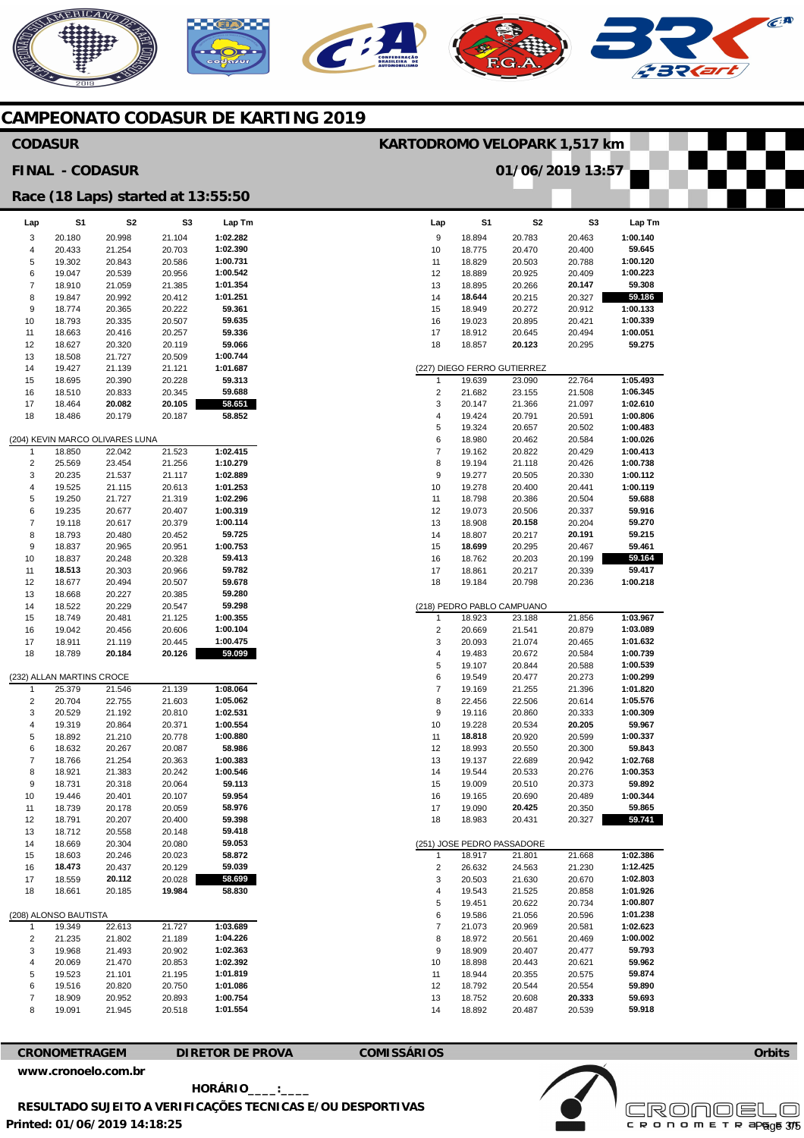### **AERICANO**  $\epsilon$ **A** C **232.**

#### **CAMPEONATO CODASUR DE KARTING 2019**

| <b>CODASUR</b>                |                           |                                    |                  |                      | KARTODROMO VELOPARK 1,517 km |                  |                             |                  |                      |
|-------------------------------|---------------------------|------------------------------------|------------------|----------------------|------------------------------|------------------|-----------------------------|------------------|----------------------|
|                               | <b>FINAL - CODASUR</b>    |                                    |                  |                      |                              |                  | 01/06/2019 13:57            |                  |                      |
|                               |                           | Race (18 Laps) started at 13:55:50 |                  |                      |                              |                  |                             |                  |                      |
| Lap                           | S1                        | S2                                 | S <sub>3</sub>   | Lap Tm               | Lap                          | S <sub>1</sub>   | S <sub>2</sub>              | S3               | Lap Tm               |
| 3                             | 20.180                    | 20.998                             | 21.104           | 1:02.282             | 9                            | 18.894           | 20.783                      | 20.463           | 1:00.140             |
| 4                             | 20.433                    | 21.254                             | 20.703           | 1:02.390             | 10                           | 18.775           | 20.470                      | 20.400           | 59.645               |
| 5                             | 19.302                    | 20.843                             | 20.586           | 1:00.731             | 11                           | 18.829           | 20.503                      | 20.788           | 1:00.120             |
| 6                             | 19.047                    | 20.539                             | 20.956           | 1:00.542             | 12                           | 18.889           | 20.925                      | 20.409           | 1:00.223             |
| $\overline{\mathcal{I}}$      | 18.910                    | 21.059                             | 21.385           | 1:01.354             | 13                           | 18.895           | 20.266                      | 20.147           | 59.308               |
| 8                             | 19.847                    | 20.992                             | 20.412           | 1:01.251             | 14                           | 18.644           | 20.215                      | 20.327           | 59.186               |
| 9                             | 18.774                    | 20.365                             | 20.222           | 59.361               | 15                           | 18.949           | 20.272                      | 20.912           | 1:00.133             |
| 10                            | 18.793                    | 20.335                             | 20.507           | 59.635               | 16                           | 19.023           | 20.895                      | 20.421           | 1:00.339             |
| 11                            | 18.663                    | 20.416                             | 20.257           | 59.336               | 17                           | 18.912           | 20.645                      | 20.494           | 1:00.051             |
| 12                            | 18.627                    | 20.320                             | 20.119           | 59.066               | 18                           | 18.857           | 20.123                      | 20.295           | 59.275               |
| 13                            | 18.508                    | 21.727                             | 20.509           | 1:00.744             |                              |                  |                             |                  |                      |
| 14                            | 19.427                    | 21.139                             | 21.121           | 1:01.687             |                              |                  | (227) DIEGO FERRO GUTIERREZ |                  |                      |
| 15                            | 18.695                    | 20.390                             | 20.228           | 59.313               | $\mathbf{1}$                 | 19.639           | 23.090                      | 22.764           | 1:05.493             |
| 16                            | 18.510                    | 20.833                             | 20.345           | 59.688               | $\overline{2}$               | 21.682           | 23.155                      | 21.508           | 1:06.345             |
| 17                            | 18.464                    | 20.082                             | 20.105           | 58.651               | 3                            | 20.147           | 21.366                      | 21.097           | 1:02.610             |
| 18                            | 18.486                    | 20.179                             | 20.187           | 58.852               | $\overline{4}$               | 19.424           | 20.791                      | 20.591           | 1:00.806             |
|                               |                           |                                    |                  |                      | 5                            | 19.324           | 20.657                      | 20.502           | 1:00.483             |
|                               |                           | (204) KEVIN MARCO OLIVARES LUNA    |                  | 1:02.415             | 6                            | 18.980           | 20.462                      | 20.584           | 1:00.026             |
| $\mathbf{1}$                  | 18.850                    | 22.042                             | 21.523           | 1:10.279             | $\overline{7}$<br>8          | 19.162           | 20.822                      | 20.429           | 1:00.413<br>1:00.738 |
| $\overline{2}$<br>3           | 25.569<br>20.235          | 23.454<br>21.537                   | 21.256<br>21.117 | 1:02.889             | 9                            | 19.194<br>19.277 | 21.118<br>20.505            | 20.426<br>20.330 | 1:00.112             |
| $\overline{4}$                | 19.525                    | 21.115                             | 20.613           | 1:01.253             | 10                           | 19.278           | 20.400                      | 20.441           | 1:00.119             |
| 5                             | 19.250                    | 21.727                             | 21.319           | 1:02.296             | 11                           | 18.798           | 20.386                      | 20.504           | 59.688               |
| 6                             | 19.235                    | 20.677                             | 20.407           | 1:00.319             | 12                           | 19.073           | 20.506                      | 20.337           | 59.916               |
| $\overline{7}$                | 19.118                    | 20.617                             | 20.379           | 1:00.114             | 13                           | 18.908           | 20.158                      | 20.204           | 59.270               |
| 8                             | 18.793                    | 20.480                             | 20.452           | 59.725               | 14                           | 18.807           | 20.217                      | 20.191           | 59.215               |
| 9                             | 18.837                    | 20.965                             | 20.951           | 1:00.753             | 15                           | 18.699           | 20.295                      | 20.467           | 59.461               |
| 10                            | 18.837                    | 20.248                             | 20.328           | 59.413               | 16                           | 18.762           | 20.203                      | 20.199           | 59.164               |
| 11                            | 18.513                    | 20.303                             | 20.966           | 59.782               | 17                           | 18.861           | 20.217                      | 20.339           | 59.417               |
| 12                            | 18.677                    | 20.494                             | 20.507           | 59.678               | 18                           | 19.184           | 20.798                      | 20.236           | 1:00.218             |
| 13                            | 18.668                    | 20.227                             | 20.385           | 59.280               |                              |                  |                             |                  |                      |
| 14                            | 18.522                    | 20.229                             | 20.547           | 59.298               |                              |                  | (218) PEDRO PABLO CAMPUANO  |                  |                      |
| 15                            | 18.749                    | 20.481                             | 21.125           | 1:00.355             | $\mathbf{1}$                 | 18.923           | 23.188                      | 21.856           | 1:03.967             |
| 16                            | 19.042                    | 20.456                             | 20.606           | 1:00.104             | $\sqrt{2}$                   | 20.669           | 21.541                      | 20.879           | 1:03.089             |
| 17                            | 18.911                    | 21.119                             | 20.445           | 1:00.475             | 3                            | 20.093           | 21.074                      | 20.465           | 1:01.632             |
| 18                            | 18.789                    | 20.184                             | 20.126           | 59.099               | $\overline{\mathbf{4}}$      | 19.483           | 20.672                      | 20.584           | 1:00.739             |
|                               |                           |                                    |                  |                      | 5                            | 19.107           | 20.844                      | 20.588           | 1:00.539             |
|                               | (232) ALLAN MARTINS CROCE |                                    |                  |                      | 6                            | 19.549           | 20.477                      | 20.273           | 1:00.299             |
| 1                             | 25.379                    | 21.546                             | 21.139           | 1:08.064             | $\overline{7}$               | 19.169           | 21.255                      | 21.396           | 1:01.820             |
| $\overline{2}$                | 20.704                    | 22.755                             | 21.603           | 1:05.062             | 8                            | 22.456           | 22.506                      | 20.614           | 1:05.576             |
| 3                             | 20.529                    | 21.192                             | 20.810           | 1:02.531             | 9                            | 19.116           | 20.860                      | 20.333           | 1:00.309             |
| $\overline{4}$                | 19.319                    | 20.864                             | 20.371           | 1:00.554             | 10                           | 19.228           | 20.534                      | 20.205           | 59.967               |
| 5                             | 18.892                    | 21.210                             | 20.778           | 1:00.880             | 11                           | 18.818           | 20.920                      | 20.599           | 1:00.337             |
| 6                             | 18.632                    | 20.267                             | 20.087           | 58.986               | 12                           | 18.993           | 20.550                      | 20.300           | 59.843               |
| $\overline{7}$                | 18.766                    | 21.254                             | 20.363           | 1:00.383             | 13                           | 19.137           | 22.689                      | 20.942           | 1:02.768             |
| 8                             | 18.921                    | 21.383                             | 20.242           | 1:00.546             | 14                           | 19.544           | 20.533                      | 20.276           | 1:00.353             |
| 9                             | 18.731                    | 20.318                             | 20.064           | 59.113               | 15                           | 19.009           | 20.510                      | 20.373           | 59.892               |
| 10                            | 19.446                    | 20.401                             | 20.107           | 59.954               | 16                           | 19.165           | 20.690                      | 20.489           | 1:00.344             |
| 11                            | 18.739                    | 20.178                             | 20.059           | 58.976               | 17                           | 19.090           | 20.425                      | 20.350           | 59.865               |
| 12                            | 18.791                    | 20.207                             | 20.400           | 59.398               | 18                           | 18.983           | 20.431                      | 20.327           | 59.741               |
| 13                            | 18.712                    | 20.558                             | 20.148           | 59.418               |                              |                  |                             |                  |                      |
| 14                            | 18.669                    | 20.304                             | 20.080           | 59.053               |                              |                  | (251) JOSE PEDRO PASSADORE  |                  |                      |
| 15                            | 18.603                    | 20.246                             | 20.023           | 58.872               | $\mathbf{1}$                 | 18.917           | 21.801                      | 21.668           | 1:02.386             |
| 16                            | 18.473                    | 20.437                             | 20.129           | 59.039               | $\sqrt{2}$                   | 26.632           | 24.563                      | 21.230           | 1:12.425             |
| 17                            | 18.559                    | 20.112                             | 20.028           | 58.699               | 3                            | 20.503           | 21.630                      | 20.670           | 1:02.803             |
| 18                            | 18.661                    | 20.185                             | 19.984           | 58.830               | 4                            | 19.543           | 21.525                      | 20.858           | 1:01.926             |
|                               |                           |                                    |                  |                      | 5                            | 19.451           | 20.622                      | 20.734           | 1:00.807             |
|                               | (208) ALONSO BAUTISTA     |                                    |                  |                      | 6                            | 19.586           | 21.056                      | 20.596           | 1:01.238             |
| $\mathbf{1}$                  | 19.349                    | 22.613                             | 21.727           | 1:03.689             | $\overline{7}$               | 21.073           | 20.969                      | 20.581           | 1:02.623             |
|                               | 21.235                    | 21.802                             | 21.189           | 1:04.226             | 8                            | 18.972           | 20.561                      | 20.469           | 1:00.002             |
| $\overline{2}$                |                           | 21.493                             | 20.902           | 1:02.363             | 9                            | 18.909           | 20.407                      | 20.477           | 59.793               |
| 3                             | 19.968                    |                                    | 20.853           | 1:02.392             | 10                           | 18.898           | 20.443                      | 20.621           | 59.962               |
| 4                             | 20.069                    | 21.470                             |                  |                      | 11                           |                  |                             | 20.575           | 59.874               |
| 5                             | 19.523                    | 21.101                             | 21.195           | 1:01.819             |                              | 18.944           | 20.355                      |                  |                      |
| 6                             | 19.516                    | 20.820                             | 20.750           | 1:01.086             | 12                           | 18.792           | 20.544                      | 20.554           | 59.890               |
| $\overline{\mathcal{I}}$<br>8 | 18.909<br>19.091          | 20.952<br>21.945                   | 20.893<br>20.518 | 1:00.754<br>1:01.554 | 13<br>14                     | 18.752<br>18.892 | 20.608<br>20.487            | 20.333<br>20.539 | 59.693<br>59.918     |

**CRONOMETRAGEM DIRETOR DE PROVA COMISSÁRIOS** 

**[www.cronoelo.com.br](http://www.cronoelo.com.br)** 

**Printed: 01/06/2019 14:18:25 HORÁRIO\_\_\_\_:\_\_\_\_ RESULTADO SUJEITO A VERIFICAÇÕES TECNICAS E/OU DESPORTIVAS** 

**Licensed to: Cronoelo**  Page 3/5

**Orbits** 

Ψ

Ŧ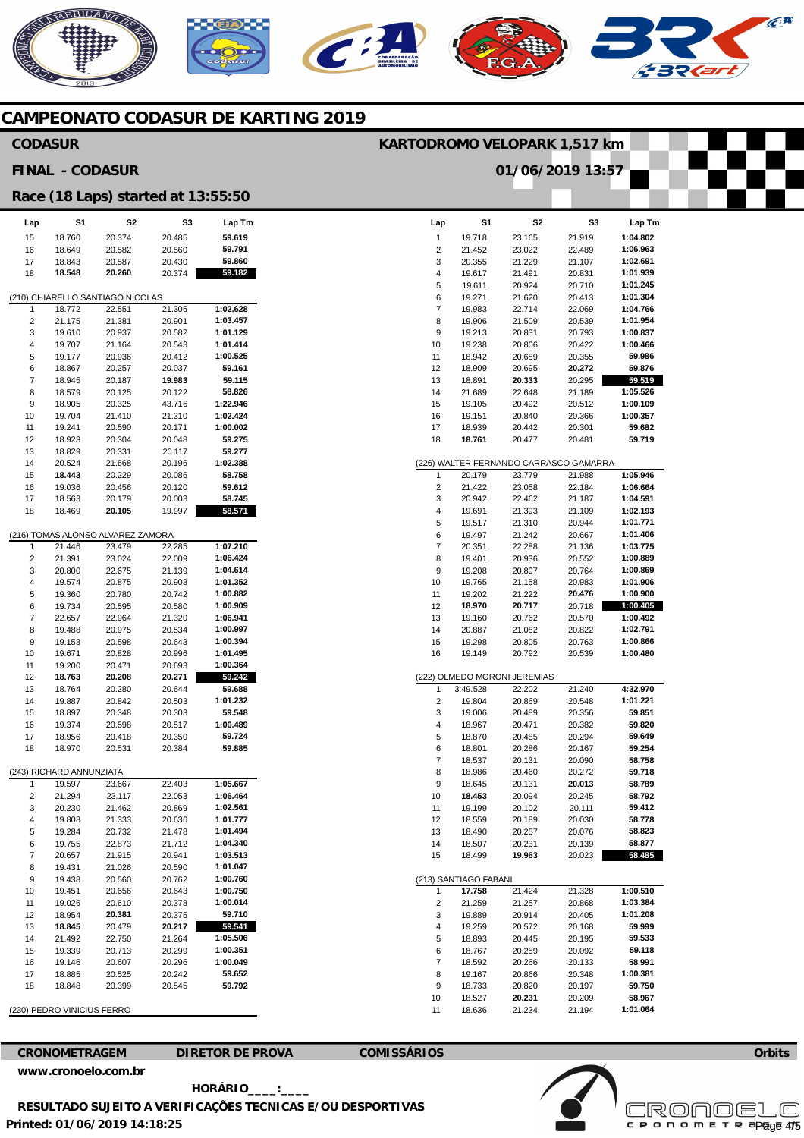# NERICANO

#### **CAMPEONATO CODASUR DE KARTING 2019**

#### **Lap**  1  $\overline{2}$ 3 4 5 6 7 8  $\alpha$ 10 11 12 13 14 15 16 17 18 (226) WALTER FERNANDO CARRASCO GAMARRA 1  $\mathcal{L}$ 3 4 5 6 7 8 9 10 11 12 13 14 15 16 (222) OLMEDO MORONI JEREMIAS 1 2 3 4 5 6 7 8 9 10 11 12 13 14 15 (213) SANTIAGO FABANI 1 2 3 4 5 6 7 8 9 10 11 **S1**  19.718 21.452 20.355 19.617 19.611 19.271 19.983 19.906 19.213 19.238 18.942 18.909 18.891 21.689 19.105 19.151 18.939 **18.761**  20.179 21.422 20.942 19.691 19.517 19.497 20.351 19.401 19.208 19.765 19.202 **18.970**  19.160 20.887 19.298 19.149 3:49.528 19.804 19.006 18.967 18.870 18.801 18.537 18.986 18.645 **18.453**  19.199 18.559 18.490 18.507 18.499 **17.758**  21.259 19.889 19.259 18.893 18.767 18.592 19.167 18.733 18.527 18.636 **S2**  23.165 23.022 21.229 21.491 20.924 21.620 22.714 21.509 20.831 20.806 20.689 20.695 **20.333**  22.648 20.492 20.840 20.442 20.477 23.779 23.058 22.462 21.393 21.310 21.242 22.288 20.936 20.897 21.158 21.222 **20.717**  20.762 21.082 20.805 20.792 22.202 20.869 20.489 20.471 20.485 20.286 20.131 20.460 20.131 20.094 20.102 20.189 20.257 20.231 **19.963**  21.424 21.257 20.914 20.572 20.445 20.259 20.266 20.866 20.820 **20.231**  21.234 **S3**  21.919 22.489 21.107 20.831 20.710 20.413 22.069 20.539 20.793 20.422 20.355 **20.272**  20.295 21.189 20.512 20.366 20.301 20.481 21.988 22.184 21.187 21.109 20.944 20.667 21.136 20.552 20.764 20.983 **20.476**  20.718 20.570 20.822 20.763 20.539 21.240 20.548 20.356 20.382 20.294 20.167 20.090 20.272 **20.013**  20.245 20.111 20.030 20.076 20.139 20.023 21.328 20.868 20.405 20.168 20.195 20.092 20.133 20.348 20.197 20.209 21.194 **Lap Tm 1:04.802 1:06.963 1:02.691 1:01.939 1:01.245 1:01.304 1:04.766 1:01.954 1:00.837 1:00.466 59.986 59.876 59.519 1:05.526 1:00.109 1:00.357 59.682 59.719 1:05.946 1:06.664 1:04.591 1:02.193 1:01.771 1:01.406 1:03.775 1:00.889 1:00.869 1:01.906 1:00.900 1:00.405 1:00.492 1:02.791 1:00.866 1:00.480 4:32.970 1:01.221 59.851 59.820 59.649 59.254 58.758 59.718 58.789 58.792 59.412 58.778 58.823 58.877 58.485 1:00.510 1:03.384 1:01.208 59.999 59.533 59.118 58.991 1:00.381 59.750 58.967 1:01.064 Lap**  15 16 17 18 (210) CHIARELLO SANTIAGO NICOLAS 1  $\overline{2}$  $\overline{3}$ 4 5 6 7 8  $\mathsf{q}$ 10 11 12 13 14 15 16 17 18 (216) TOMAS ALONSO ALVAREZ ZAMORA 1 2 3 4 5 6 7 8 9 10 11 12 13 14 15 16 17 18 (243) RICHARD ANNUNZIATA 1 2 3 4 5 6 7 8 9 10 11 12 13 14 15 16 17 18 (230) PEDRO VINICIUS FERRO **S1**  18.760 18.649 18.843 **18.548**  18.772 21.175 19.610 19.707 19.177 18.867 18.945 18.579 18.905 19.704 19.241 18.923 18.829 20.524 **18.443**  19.036 18.563 18.469 21.446 21.391 20.800 19.574 19.360 19.734 22.657 19.488 19.153 19.671 19.200 **18.763**  18.764 19.887 18.897 19.374 18.956 18.970 19.597 21.294 20.230 19.808 19.284 19.755 20.657 19.431 19.438 19.451 19.026 18.954 **18.845**  21.492 19.339 19.146 18.885 18.848 **S2**  20.374 20.582 20.587 **20.260**  22.551 21.381 20.937 21.164 20.936 20.257 20.187 20.125 20.325 21.410 20.590 20.304 20.331 21.668 20.229 20.456 20.179 **20.105**  23.479 23.024 22.675 20.875 20.780 20.595 22.964 20.975 20.598 20.828 20.471 **20.208**  20.280 20.842 20.348 20.598 20.418 20.531 23.667 23.117 21.462 21.333 20.732 22.873 21.915 21.026 20.560 20.656 20.610 **20.381**  20.479 22.750 20.713 20.607 20.525 20.399 **S3**  20.485 20.560 20.430 20.374 21.305 20.901 20.582 20.543 20.412 20.037 **19.983**  20.122 43.716 21.310 20.171 20.048 20.117 20.196 20.086 20.120 20.003 19.997 22.285 22.009 21.139 20.903 20.742 20.580 21.320 20.534 20.643 20.996 20.693 **20.271**  20.644 20.503 20.303 20.517 20.350 20.384 22.403 22.053 20.869 20.636 21.478 21.712 20.941 20.590 20.762 20.643 20.378 20.375 **20.217**  21.264 20.299 20.296 20.242 20.545 **Lap Tm 59.619 59.791 59.860 59.182 1:02.628 1:03.457 1:01.129 1:01.414 1:00.525 59.161 59.115 58.826 1:22.946 1:02.424 1:00.002 59.275 59.277 1:02.388 58.758 59.612 58.745 58.571 1:07.210 1:06.424 1:04.614 1:01.352 1:00.882 1:00.909 1:06.941 1:00.997 1:00.394 1:01.495 1:00.364 59.242 59.688 1:01.232 59.548 1:00.489 59.724 59.885 1:05.667 1:06.464 1:02.561 1:01.777 1:01.494 1:04.340 1:03.513 1:01.047 1:00.760 1:00.750 1:00.014 59.710 59.541 1:05.506 1:00.351 1:00.049 59.652 59.792 CODASUR FINAL - CODASUR Race (18 Laps) started at 13:55:50 KARTODROMO VELOPARK 1,517 km 01/06/2019 13:57**

**CRONOMETRAGEM DIRETOR DE PROVA COMISSÁRIOS** 

**[www.cronoelo.com.br](http://www.cronoelo.com.br)** 

**Printed: 01/06/2019 14:18:25 HORÁRIO\_\_\_\_:\_\_\_\_ RESULTADO SUJEITO A VERIFICAÇÕES TECNICAS E/OU DESPORTIVAS** 



**Orbits**